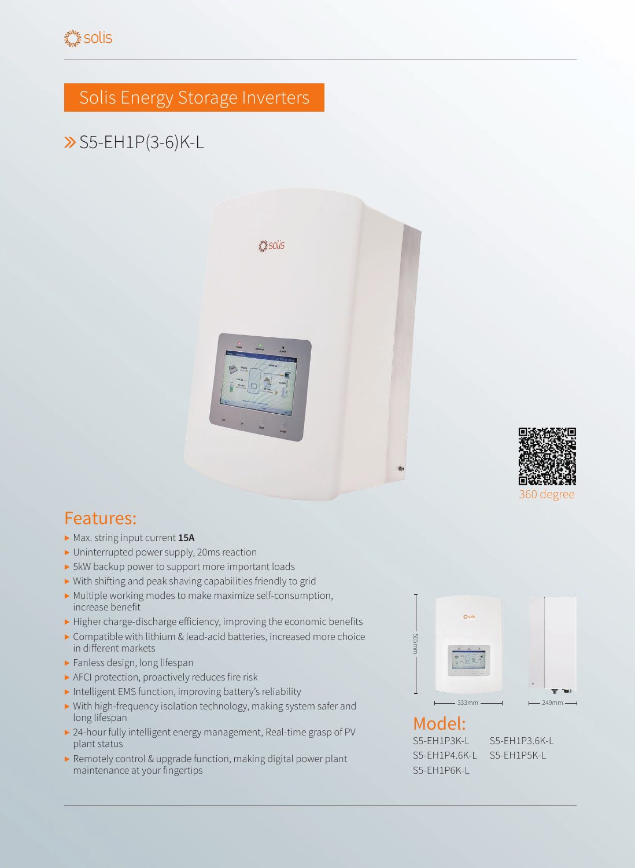## Solis Energy Storage Inverters

## S5-EH1P(3-6)K-L





- ▶ Max. string input current **15A**
- ▶ Uninterrupted power supply, 20ms reaction
- ▶ 5kW backup power to support more important loads
- ▶ With shifting and peak shaving capabilities friendly to grid
- ▶ Multiple working modes to make maximize self-consumption, increase benefit
- ▶ Higher charge-discharge efficiency, improving the economic benefits
- ▶ Compatible with lithium & lead-acid batteries, increased more choice in different markets
- ▶ Fanless design, long lifespan
- ▶ AFCI protection, proactively reduces fire risk
- ▶ Intelligent EMS function, improving battery's reliability
- ▶ With high-frequency isolation technology, making system safer and long lifespan
- ▶ 24-hour fully intelligent energy management, Real-time grasp of PV plant status
- ▶ Remotely control & upgrade function, making digital power plant maintenance at your fingertips



## Model:

S5-EH1P3K-L S5-EH1P3.6K-L S5-EH1P4.6K-L S5-EH1P5K-L S5-EH1P6K-L

360 degree